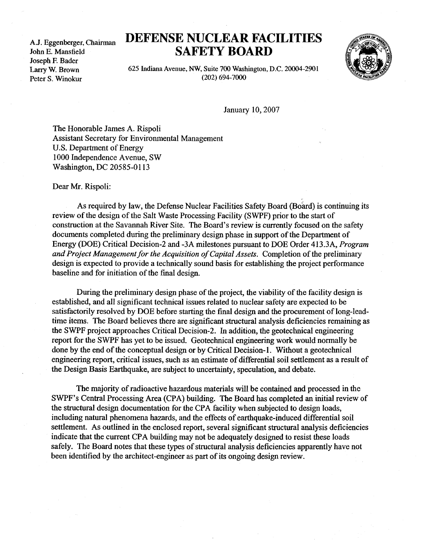A.J . Eggenberger, Chairman John E. Mansfield Joseph F. Bader Larry W. Brown Peter S. Winokur

## DEFENSE NUCLEAR FACILITIES SAFETY BOARD



625 Indiana Avenue, NW, Suite 700 Washington, D.C. 20004-2901 (202) 694-7000

January 10, 2007

The Honorable James A. Rispoli Assistant Secretary for Environmental Management U.S. Department of Energy 1000 Independence Avenue, SW Washington, DC 20585-0113

Dear Mr. Rispoli:

As required by law, the Defense Nuclear Facilities Safety Board (Board) is continuing its review of the design of the Salt Waste Processing Facility (SWPF) prior to the start of construction at the Savannah River Site. The Board's review is currently focused on the safety documents completed during the preliminary design phase in support of the Department of Energy (DOE) Critical Decision-2 and -3A milestones pursuant to DOE Order 413 .3A, Program and Project Management for the Acquisition of Capital Assets. Completion of the preliminary design is expected to provide a technically sound basis for establishing the project performance baseline and for initiation of the final design.

During the preliminary design phase of the project, the viability of the facility design is established, and all significant technical issues related to nuclear safety are expected to be satisfactorily resolved by DOE before starting the final design and the procurement of long-leadtime items. The Board believes there are significant structural analysis deficiencies remaining as the SWPF project approaches Critical Decision-2 . In addition, the geotechnical engineering report for the SWPF has yet to be issued. Geotechnical engineering work would normally be done by the end of the conceptual design or by Critical Decision-1. Without a geotechnical engineering report, critical issues, such as an estimate of differential soil settlement as a result of the Design Basis Earthquake, are subject to uncertainty, speculation, and debate .

The majority of radioactive hazardous materials will be contained and processed in the SWPF's Central Processing Area (CPA) building. The Board has completed an initial review of the structural design documentation for the CPA facility when subjected to design loads, including natural phenomena hazards, and the effects of earthquake-induced differential soil settlement. As outlined in the enclosed report, several significant structural analysis deficiencies indicate that the current CPA building may not be adequately designed to resist these loads safely. The Board notes that these types of structural analysis deficiencies apparently have not been identified by the architect-engineer as part of its ongoing design review .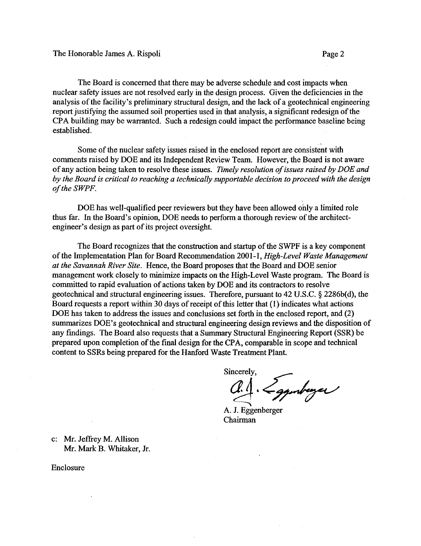The Board is concerned that there may be adverse schedule and cost impacts when nuclear safety issues are not resolved early in the design process. Given the deficiencies in the analysis of the facility's preliminary structural design, and the lack of a geotechnical engineering report justifying the assumed soil properties used in that analysis, a significant redesign of the CPA building may be warranted. Such a redesign could impact the performance baseline being established.

Some of the nuclear safety issues raised in the enclosed report are consistent with comments raised by DOE and its Independent Review Team. However, the Board is not aware of any action being taken to resolve these issues. Timely resolution of issues raised by DOE and by the Board is critical to reaching a technically supportable decision to proceed with the design of the SWPF.

DOE has well-qualified peer reviewers but they have been allowed only a limited role thus far. In the Board's opinion, DOE needs to perform a thorough review of the architectengineer's design as part of its project oversight.

The Board recognizes that the construction and startup of the SWPF is a key component of the Implementation Plan for Board Recommendation 2001-1, High-Level Waste Management at the Savannah River Site. Hence, the Board proposes that the Board and DOE senior management work closely to minimize impacts on the High-Level Waste program. The Board is committed to rapid evaluation of actions taken by DOE and its contractors to resolve geotechnical and structural engineering issues . Therefore, pursuant to 42 U .S.C . § 2286b(d), the Board requests a report within 30 days of receipt of this letter that (1) indicates what actions DOE has taken to address the issues and conclusions set forth in the enclosed report, and (2) summarizes DOE's geotechnical and structural engineering design reviews and the disposition of any findings. The Board also requests that a Summary Structural Engineering Report (SSR) be prepared upon completion of the final design for the CPA, comparable in scope and technical content to SSRs being prepared for the Hanford Waste Treatment Plant.

Sincerely,

· Lagunberger

A. J. Eggenberger Chairman

c: Mr. Jeffrey M. Allison Mr. Mark B. Whitaker, Jr.

Enclosure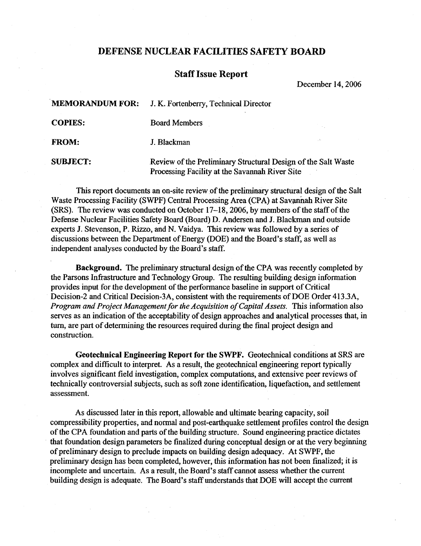## DEFENSE NUCLEAR FACILITIES SAFETY BOARD

## Staff Issue Report

December 14, 2006

|                 | <b>MEMORANDUM FOR:</b> J. K. Fortenberry, Technical Director                                                    |  |
|-----------------|-----------------------------------------------------------------------------------------------------------------|--|
| <b>COPIES:</b>  | <b>Board Members</b>                                                                                            |  |
| <b>FROM:</b>    | J. Blackman                                                                                                     |  |
| <b>SUBJECT:</b> | Review of the Preliminary Structural Design of the Salt Waste<br>Processing Facility at the Savannah River Site |  |

This report documents an on-site review of the preliminary structural design of the Salt Waste Processing Facility (SWPF) Central Processing Area (CPA) at Savannah River Site (SRS). The review was conducted on October 17-18, 2006, by members of the staff of the Defense Nuclear Facilities Safety Board (Board) D. Andersen and J. Blackman and outside experts J. Stevenson, P. Rizzo, and N. Vaidya. This review was followed by a series of discussions between the Department of Energy (DOE) and the Board's staff, as well as independent analyses conducted by the Board's staff.

Background. The preliminary structural design of the CPA was recently completed by the Parsons Infrastructure and Technology Group. The resulting building design information provides input for the development of the performance baseline in support of Critical Decision-2 and Critical Decision-3A, consistent with the requirements of DOE Order 413 .3A, Program and Project Management for the Acquisition of Capital Assets. This information also serves as an indication of the acceptability of design approaches and analytical processes that, in turn, are part of determining the resources required during the final project design and construction.

Geotechnical Engineering Report for the SWPF. Geotechnical conditions at SRS are complex and difficult to interpret. As a result, the geotechnical engineering report typically involves significant field investigation, complex computations, and extensive peer reviews of technically controversial subjects, such as soft zone identification, liquefaction, and settlement assessment.

As discussed later in this report, allowable and ultimate bearing capacity, soil compressibility properties, and normal and post-earthquake settlement profiles control the design of the CPA foundation and parts of the building structure. Sound engineering practice dictates that foundation design parameters be finalized during conceptual design or at the very beginning of preliminary design to preclude impacts on building design adequacy. At SWPF, the preliminary design has been completed, however, this information has not been finalized; it is incomplete and uncertain. As a result, the Board's staff cannot assess whether the current building design is adequate. The Board's staff understands that DOE will accept the current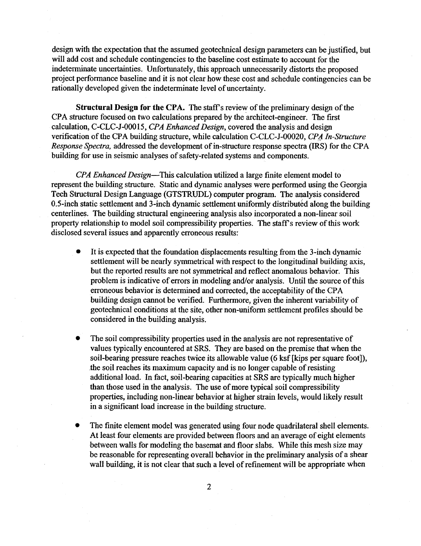design with the expectation that the assumed geotechnical design parameters can be justified, but will add cost and schedule contingencies to the baseline cost estimate to account for the indeterminate uncertainties. Unfortunately, this approach unnecessarily distorts the proposed project performance baseline and it is not clear how these cost and schedule contingencies can be rationally developed given the indeterminate level of uncertainty .

Structural Design for the CPA. The staff's review of the preliminary design of the CPA structure focused on two calculations prepared by the architect-engineer . The first calculation, C-CLC-J-00015, CPA Enhanced Design, covered the analysis and design verification of the CPA building structure, while calculation C-CLC-J-00020, CPA In-Structure Response Spectra, addressed the development of in-structure response spectra (IRS) for the CPA building for use in seismic analyses of safety-related systems and components .

CPA Enhanced Design—This calculation utilized a large finite element model to represent the building structure. Static and dynamic analyses were performed using the Georgia Tech Structural Design Language (GTSTRUDL) computer program . The analysis considered 0.5-inch static settlement and 3-inch dynamic settlement uniformly distributed along the building centerlines. The building structural engineering analysis also incorporated a non-linear soil property relationship to model soil compressibility properties . The staff's review of this work disclosed several issues and apparently erroneous results :

- It is expected that the foundation displacements resulting from the 3-inch dynamic  $\bullet$ settlement will be nearly symmetrical with respect to the longitudinal building axis, but the reported results are not symmetrical and reflect anomalous behavior. This problem is indicative of errors in modeling and/or analysis . Until the source of this erroneous behavior is determined and corrected, the acceptability of the CPA building design cannot be verified. Furthermore, given the inherent variability of geotechnical conditions at the site, other non-uniform settlement profiles should be considered in the building analysis .
- The soil compressibility properties used in the analysis are not representative of values typically encountered at SRS . They are based on the premise that when the soil-bearing pressure reaches twice its allowable value (6 ksf [kips per square foot]), the soil reaches its maximum capacity and is no longer capable of resisting additional load. In fact, soil-bearing capacities at SRS are typically much higher than those used in the analysis. The use of more typical soil compressibility properties, including non-linear behavior at higher strain levels, would likely result in a significant load increase in the building structure.
- The finite element model was generated using four node quadrilateral shell elements. At least four elements are provided between floors and an average of eight elements between walls for modeling the basemat and floor slabs. While this mesh size may be reasonable for representing overall behavior in the preliminary analysis of a shear wall building, it is not clear that such a level of refinement will be appropriate when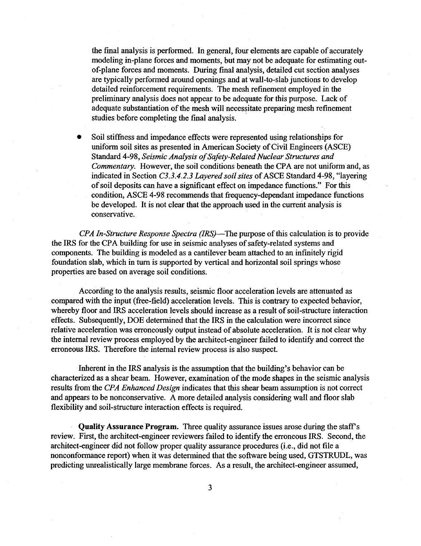the final analysis is performed. In general, four elements are capable of accurately modeling in-plane forces and moments, but may not be adequate for estimating outof-plane forces and moments. During final analysis, detailed cut section analyses are typically performed around openings and at wall-to-slab junctions to develop detailed reinforcement requirements . The mesh refinement employed in the preliminary analysis does not appear to be adequate for this purpose. Lack of adequate substantiation of the mesh will necessitate preparing mesh refinement studies before completing the final analysis .

• Soil stiffness and impedance effects were represented using relationships for uniform soil sites as presented in American Society of Civil Engineers (ASCE) Standard 4-98, Seismic Analysis of Safety Related Nuclear Structures and Commentary. However, the soil conditions beneath the CPA are not uniform and, as indicated in Section C3.3 .4.2 .3 Layered soil sites of ASCE Standard 4-98, "layering of soil deposits can have a significant effect on impedance functions ." For this condition, ASCE 4-98 recommends that frequency-dependant impedance functions be developed. It is not clear that the approach used in the current analysis is conservative.

CPA In-Structure Response Spectra (IRS)—The purpose of this calculation is to provide the IRS for the CPA building for use in seismic analyses of safety-related systems and components. The building is modeled as a cantilever beam attached to an infinitely rigid foundation slab, which in turn is supported by vertical and horizontal soil springs whose properties are based on average soil conditions .

According to the analysis results, seismic floor acceleration levels are attenuated as compared with the input (free-field) acceleration levels . This is contrary to expected behavior, whereby floor and IRS acceleration levels should increase as a result of soil-structure interaction effects. Subsequently, DOE determined that the IRS in the calculation were incorrect since relative acceleration was erroneously output instead of absolute acceleration . It is not clear why the internal review process employed by the architect-engineer failed to identify and correct the erroneous IRS. Therefore the internal review process is also suspect.

Inherent in the IRS analysis is the assumption that the building's behavior can be characterized as a shear beam. However, examination of the mode shapes in the seismic analysis results from the CPA Enhanced Design indicates that this shear beam assumption is not correct and appears to be nonconservative. A more detailed analysis considering wall and floor slab flexibility and soil-structure interaction effects is required.

Quality Assurance Program. Three quality assurance issues arose during the staff's review. First, the architect-engineer reviewers failed to identify the erroneous IRS . Second, the architect-engineer did not follow proper quality assurance procedures (i.e., did not file a nonconformance report) when it was determined that the software being used, GTSTRUDL, was predicting unrealistically large membrane forces . As a result, the architect-engineer assumed,